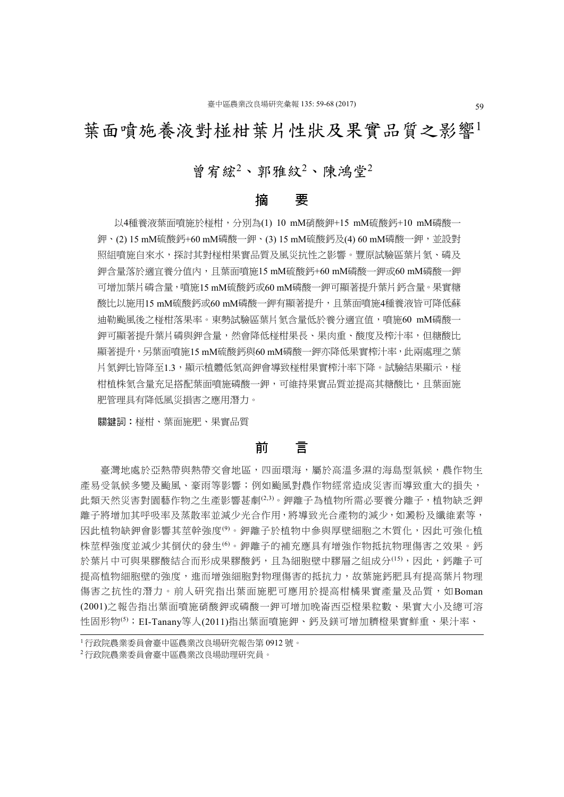# 葉面噴施養液對椪柑葉片性狀及果實品質之影響

# 曾宥綋<sup>2</sup>、郭雅紋<sup>2</sup>、陳鴻堂<sup>2</sup>

## 摘 要

以4種養液葉面噴施於椪柑,分別為(1) 10 mM硝酸鉀+15 mM硫酸鈣+10 mM磷酸一 鉀、(2) 15 mM硫酸鈣+60 mM磷酸一鉀、(3) 15 mM硫酸鈣及(4) 60 mM磷酸一鉀,並設對 照組噴施自來水,探討其對椪柑果實品質及風災抗性之影響。豐原試驗區葉片氮、磷及 鉀含量落於適宜養分值內,且葉面噴施15 mM硫酸鈣+60 mM磷酸一鉀或60 mM磷酸一鉀 可增加葉片磷含量,噴施15 mM硫酸鈣或60 mM磷酸一鉀可顯著提升葉片鈣含量。果實糖 酸比以施用15 mM硫酸鈣或60 mM磷酸一鉀有顯著提升,且葉面噴施4種養液皆可降低蘇 迪勒颱風後之椪柑落果率。東勢試驗區葉片氮含量低於養分適宜值,噴施60 mM磷酸一 鉀可顯著提升葉片磷與鉀含量,然會降低椪柑果長、果肉重、酸度及榨汁率,但糖酸比 顯著提升,另葉面噴施15 mM硫酸鈣與60 mM磷酸一鉀亦降低果實榨汁率,此兩處理之葉 片氮鉀比皆降至1.3,顯示植體低氮高鉀會導致椪柑果實榨汁率下降。試驗結果顯示,椪 柑植株氮含量充足搭配葉面噴施磷酸一鉀,可維持果實品質並提高其糖酸比,且葉面施 肥管理具有降低風災損害之應用潛力。

關鍵詞:椪柑、葉面施肥、果實品質

# 前 言

臺灣地處於亞熱帶與熱帶交會地區,四面環海,屬於高溫多濕的海島型氣候,農作物生 產易受氣候多變及颱風、豪雨等影響;例如颱風對農作物經常造成災害而導致重大的損失, 此類天然災害對園藝作物之生產影響甚劇(2,3)。鉀離子為植物所需必要養分離子,植物缺乏鉀 離子將增加其呼吸率及蒸散率並減少光合作用,將導致光合產物的減少,如澱粉及纖維素等, 因此植物缺鉀會影響其莖幹強度(9)。鉀離子於植物中參與厚壁細胞之木質化,因此可強化植 株莖桿強度並減少其倒伏的發生(6)。鉀離子的補充應具有增強作物抵抗物理傷害之效果。鈣 於葉片中可與果膠酸結合而形成果膠酸鈣,且為細胞壁中膠層之組成分(15),因此,鈣離子可 提高植物細胞壁的強度,進而增強細胞對物理傷害的抵抗力,故葉施鈣肥具有提高葉片物理 傷害之抗性的潛力。前人研究指出葉面施肥可應用於提高柑橘果實產量及品質,如Boman (2001)之報告指出葉面噴施硝酸鉀或磷酸一鉀可增加晚崙西亞橙果粒數、果實大小及總可溶 性固形物(5);EI-Tanany等人(2011)指出葉面噴施鉀、鈣及鎂可增加臍橙果實鮮重、果汁率、

<sup>1</sup>行政院農業委員會臺中區農業改良場研究報告第 0912 號。

<sup>2</sup>行政院農業委員會臺中區農業改良場助理研究員。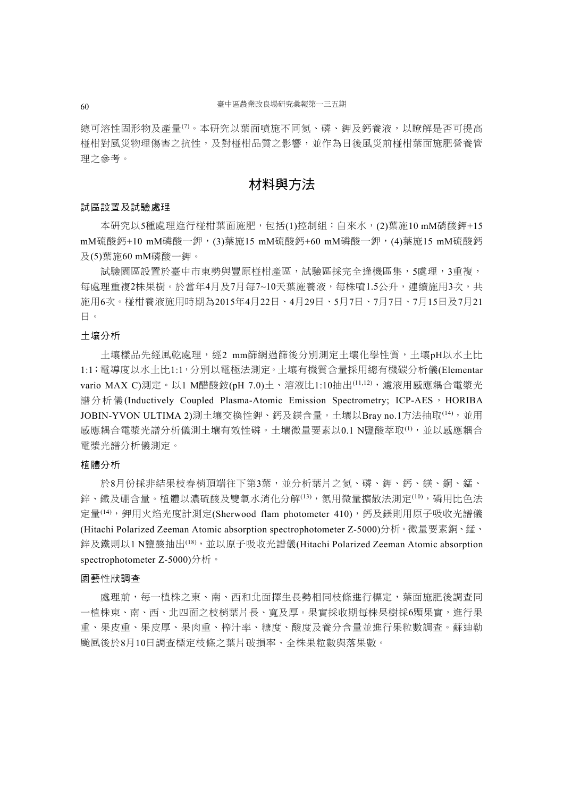總可溶性固形物及產量<sup>(7)</sup>。本研究以葉面噴施不同氡、磷、鉀及鈣養液,以瞭解是否可提高 椪柑對風災物理傷害之抗性,及對椪柑品質之影響,並作為日後風災前椪柑葉面施肥營養管 理之參考。

# 材料與方法

#### 試區設置及試驗處理

本研究以5種處理進行椪柑葉面施肥,包括(1)控制組:自來水,(2)葉施10 mM硝酸鉀+15 mM硫酸鈣+10 mM磷酸一鉀,(3)葉施15 mM硫酸鈣+60 mM磷酸一鉀,(4)葉施15 mM硫酸鈣 及(5)葉施60 mM磷酸一鉀。

試驗園區設置於臺中市東勢與豐原椪柑產區,試驗區採完全逢機區集,5處理,3重複, 每處理重複2株果樹。於當年4月及7月每7~10天葉施養液,每株噴1.5公升,連續施用3次,共 施用6次。椪柑養液施用時期為2015年4月22日、4月29日、5月7日、7月7日、7月15日及7月21 日。

### 土壤分析

土壤樣品先經風乾處理,經2 mm篩網過篩後分別測定土壤化學性質,土壤pH以水土比 1:1;電導度以水土比1:1,分別以電極法測定。土壤有機質含量採用總有機碳分析儀(Elementar vario MAX C)測定。以1 M醋酸銨(pH 7.0)土、溶液比1:10抽出(11,12),濾液用感應耦合電漿光 譜分析儀(Inductively Coupled Plasma-Atomic Emission Spectrometry; ICP-AES, HORIBA JOBIN-YVON ULTIMA 2)測土壤交換性鉀、鈣及鎂含量。土壤以Bray no.1方法抽取(14),並用 感應耦合電漿光譜分析儀測十壤有效性磷。十壤微量要素以0.1 N鹽酸萃取(1),並以感應耦合 電漿光譜分析儀測定。

#### 植體分析

於8月份採非結果枝春梢頂端往下第3葉,並分析葉片之氮、磷、鉀、鈣、鎂、銅、錳、 鋅、鐵及硼含量。植體以濃硫酸及雙氧水消化分解(13),氮用微量擴散法測定(10),磷用比色法 定量<sup>(14)</sup>, 鉀用火焰光度計測定(Sherwood flam photometer 410), 鈣及鎂則用原子吸收光譜儀 (Hitachi Polarized Zeeman Atomic absorption spectrophotometer Z-5000)分析。微量要素銅、錳、 鋅及鐵則以1 N鹽酸抽出(18),並以原子吸收光譜儀(Hitachi Polarized Zeeman Atomic absorption spectrophotometer Z-5000)分析。

#### 園藝性狀調查

處理前,每一植株之東、南、西和北面擇生長勢相同枝條進行標定,葉面施肥後調查同 一植株東、南、西、北四面之枝梢葉片長、寬及厚。果實採收期每株果樹採6顆果實,進行果 重、果皮重、果皮厚、果肉重、榨汁率、糖度、酸度及養分含量並進行果粒數調查。蘇迪勒 颱風後於8月10日調查標定枝條之葉片破損率、全株果粒數與落果數。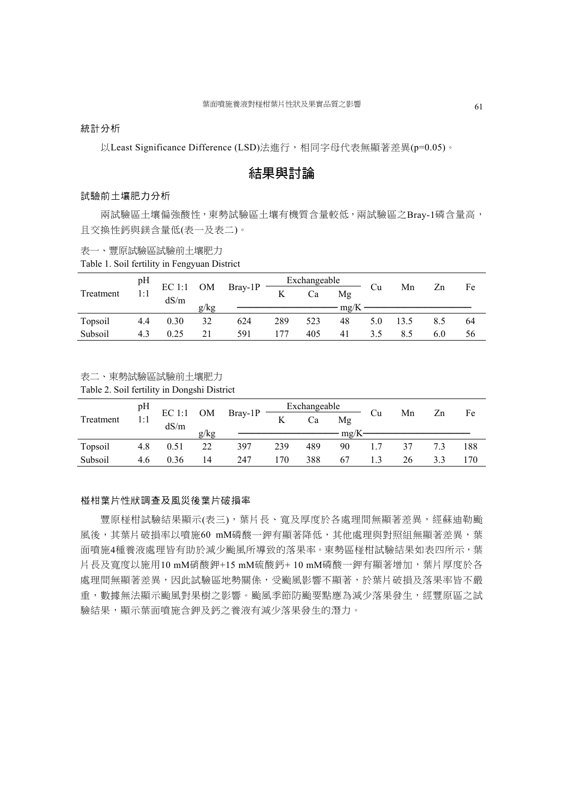統計分析

以Least Significance Difference (LSD)法進行,相同字母代表無顯著差異(p=0.05)。

# 結果與討論

#### 試驗前土壤肥力分析

兩試驗區土壤偏強酸性,東勢試驗區土壤有機質含量較低,兩試驗區之Bray-1磷含量高, 且交換性鈣與鎂含量低(表一及表二)。

表一、豐原試驗區試驗前土壤肥力

Table 1. Soil fertility in Fengyuan District

|           | pH  | $\rm EC$ 1:1 |            | $Bray-1P$ | Exchangeable |     |             |     | Mn   | Zn |    |
|-----------|-----|--------------|------------|-----------|--------------|-----|-------------|-----|------|----|----|
| Treatment | 1:1 |              | ${\rm OM}$ |           | K            | Ca  | Mg          | ∪u  |      |    | Fe |
|           |     | dS/m         | g/kg       |           |              |     | $m\Omega/K$ |     |      |    |    |
| Topsoil   | 4.4 | 0.30         | 32         | 624       | 289          | 523 | 48          |     | 13.5 |    | 64 |
| Subsoil   |     | 0.25         |            | 591       | 177          | 405 | 41          | 35. |      |    | 56 |

表二、東勢試驗區試驗前土壤肥力

Table 2. Soil fertility in Dongshi District

|           | pH  |              |      |         | Exchangeable |     |      |    |    |    | Fe  |
|-----------|-----|--------------|------|---------|--------------|-----|------|----|----|----|-----|
| Treatment | 1:1 | $\rm EC$ 1:1 | OM   | Bray-1P | K            | Ca  | Mg   | ∪u | Mn | Zn |     |
|           |     | dS/m         | g/kg |         |              |     | mg/K |    |    |    |     |
| Topsoil   | 4.8 | 0.51         | 22   | 397     | 239          | 489 | 90   |    |    |    | 188 |
| Subsoil   | 4.6 | 0.36         | 14   | 247     | 170          | 388 | 67   |    | 26 |    |     |

#### 椪柑葉片性狀調查及風災後葉片破損率

豐原椪柑試驗結果顯示(表三), 葉片長、寬及厚度於各處理間無顯著差異,經蘇迪勒颱 風後,其葉片破損率以噴施60 mM磷酸一鉀有顯著降低,其他處理與對照組無顯著差異,葉 面噴施4種養液處理皆有助於減少颱風所導致的落果率。東勢區椪柑試驗結果如表四所示,葉 片長及寬度以施用10 mM硝酸鉀+15 mM硫酸鈣+10 mM磷酸一鉀有顯著增加,葉片厚度於各 處理間無顯著差異,因此試驗區地勢關係,受颱風影響不顯著,於葉片破損及落果率皆不嚴 重,數據無法顯示颱風對果樹之影響。颱風季節防颱要點應為減少落果發生,經豐原區之試 驗結果,顯示葉面噴施含鉀及鈣之養液有減少落果發生的潛力。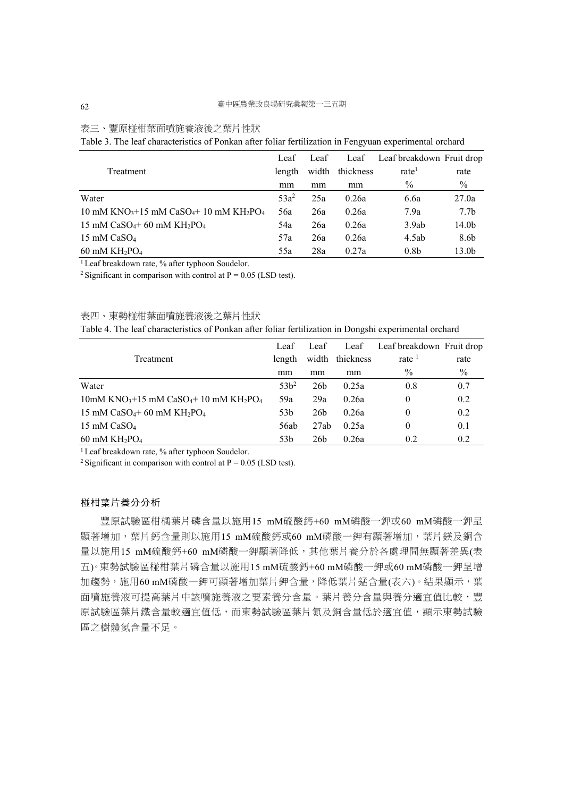# 表三、豐原椪柑葉面噴施養液後之葉片性狀

Table 3. The leaf characteristics of Ponkan after foliar fertilization in Fengyuan experimental orchard

|                                                                                        | Leaf    | Leaf  | Leaf      | Leaf breakdown Fruit drop |                   |
|----------------------------------------------------------------------------------------|---------|-------|-----------|---------------------------|-------------------|
| Treatment                                                                              | length  | width | thickness | rate                      | rate              |
|                                                                                        | mm      | mm    | mm        | $\frac{0}{0}$             | $\%$              |
| Water                                                                                  | $53a^2$ | 25a   | 0.26a     | 6.6a                      | 27.0a             |
| 10 mM KNO <sub>3</sub> +15 mM CaSO <sub>4</sub> +10 mM KH <sub>2</sub> PO <sub>4</sub> | 56a     | 26a   | 0.26a     | 7.9a                      | 7.7 <sub>b</sub>  |
| 15 mM $CaSO_4$ +60 mM $KH_2PO_4$                                                       | 54a     | 26a   | 0.26a     | 3.9ab                     | 14.0 <sub>b</sub> |
| 15 mM $CaSO4$                                                                          | 57a     | 26a   | 0.26a     | 4.5ab                     | 8.6b              |
| $60 \text{ mM } KH_2PO_4$                                                              | 55a     | 28a   | 0.27a     | 0.8 <sub>b</sub>          | 13.0b             |

 $1$  Leaf breakdown rate, % after typhoon Soudelor.

<sup>2</sup> Significant in comparison with control at  $P = 0.05$  (LSD test).

表四、東勢椪柑葉面噴施養液後之葉片性狀

Table 4. The leaf characteristics of Ponkan after foliar fertilization in Dongshi experimental orchard

|                                                                                          | Leaf            | Leaf            | Leaf            | Leaf breakdown Fruit drop |      |
|------------------------------------------------------------------------------------------|-----------------|-----------------|-----------------|---------------------------|------|
| Treatment                                                                                | length          |                 | width thickness | rate $1$                  | rate |
|                                                                                          | mm              | mm              | mm              | $\frac{0}{0}$             | $\%$ |
| Water                                                                                    | $53h^2$         | 26 <sub>b</sub> | 0.25a           | 0.8                       | 0.7  |
| $10$ mM KNO <sub>3</sub> +15 mM CaSO <sub>4</sub> +10 mM KH <sub>2</sub> PO <sub>4</sub> | 59a             | 29a             | 0.26a           | 0                         | 0.2  |
| 15 mM $CaSO_4$ +60 mM $KH_2PO_4$                                                         | 53 <sub>b</sub> | 26 <sub>b</sub> | 0.26a           | 0                         | 0.2  |
| 15 mM $CaSO4$                                                                            | 56ab            | 27ab            | 0.25a           | 0                         | 0.1  |
| $60 \text{ mM KH}$ <sub>2</sub> PO <sub>4</sub>                                          | 53 <sub>b</sub> | 26 <sub>b</sub> | 0.26a           | 0.2                       | 0.2  |

<sup>1</sup> Leaf breakdown rate, % after typhoon Soudelor.

<sup>2</sup> Significant in comparison with control at  $P = 0.05$  (LSD test).

#### 椪柑葉片養分分析

豐原試驗區柑橘葉片磷含量以施用15 mM硫酸鈣+60 mM磷酸一鉀或60 mM磷酸一鉀呈 顯著增加,葉片鈣含量則以施用15 mM硫酸鈣或60 mM磷酸一鉀有顯著增加,葉片鎂及銅含 量以施用15 mM硫酸鈣+60 mM磷酸一鉀顯著降低,其他葉片養分於各處理間無顯著差異(表 五)。東勢試驗區椪柑葉片磷含量以施用15 mM硫酸鈣+60 mM磷酸一鉀或60 mM磷酸一鉀呈增 加趨勢,施用60 mM磷酸一鉀可顯著增加葉片鉀含量,降低葉片錳含量(表六)。結果顯示,葉 面噴施養液可提高葉片中該噴施養液之要素養分含量。葉片養分含量與養分適宜值比較,豐 原試驗區葉片鐵含量較適宜值低,而東勢試驗區葉片氮及銅含量低於適宜值,顯示東勢試驗 區之樹體氮含量不足。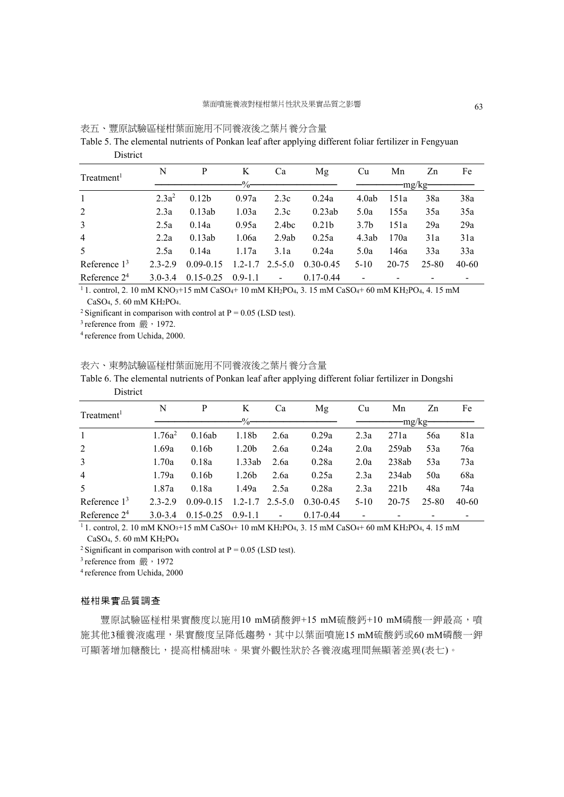| 表五、豐原試驗區椪柑葉面施用不同養液後之葉片養分含量 |
|----------------------------|
|----------------------------|

Table 5. The elemental nutrients of Ponkan leaf after applying different foliar fertilizer in Fengyuan **District** 

|                        | N           | P                 | K             | Ca             | Mg                | Cu               | Mn    | Zn      | Fe    |
|------------------------|-------------|-------------------|---------------|----------------|-------------------|------------------|-------|---------|-------|
| Treatment <sup>1</sup> |             |                   | $\frac{0}{0}$ |                |                   |                  |       | -mg/kg- |       |
| $\overline{1}$         | $2.3a^2$    | 0.12 <sub>b</sub> | 0.97a         | 2.3c           | 0.24a             | 4.0ab            | 151a  | 38a     | 38a   |
| 2                      | 2.3a        | 0.13ab            | 1.03a         | 2.3c           | 0.23ab            | 5.0a             | 155a  | 35a     | 35a   |
| 3                      | 2.5a        | 0.14a             | 0.95a         | 2.4bc          | 0.21 <sub>b</sub> | 3.7 <sub>b</sub> | 151a  | 29a     | 29a   |
| $\overline{4}$         | 2.2a        | 0.13ab            | 1.06a         | 2.9ab          | 0.25a             | 4.3ab            | 170a  | 31a     | 31a   |
| .5                     | 2.5a        | 0.14a             | 1.17a         | 3.1a           | 0.24a             | 5.0a             | 146a  | 33a     | 33a   |
| Reference $13$         | $2.3 - 2.9$ | $0.09 - 0.15$     | $1.2 - 1.7$   | $2.5 - 5.0$    | $0.30 - 0.45$     | $5-10$           | 20-75 | 25-80   | 40-60 |
| Reference $24$         | $3.0 - 3.4$ | $0.15 - 0.25$     | $0.9 - 1.1$   | $\blacksquare$ | $0.17 - 0.44$     |                  |       |         |       |

 $1.1$ . control, 2. 10 mM KNO<sub>3</sub>+15 mM CaSO<sub>4</sub>+ 10 mM KH<sub>2</sub>PO<sub>4</sub>, 3. 15 mM CaSO<sub>4</sub>+ 60 mM KH<sub>2</sub>PO<sub>4</sub>, 4. 15 mM CaSO4, 5. 60 mM KH2PO4.

<sup>2</sup> Significant in comparison with control at  $P = 0.05$  (LSD test).

 $3$  reference from  $\frac{36}{1972}$ .

4 reference from Uchida, 2000.

#### 表六、東勢試驗區椪柑葉面施用不同養液後之葉片養分含量

Table 6. The elemental nutrients of Ponkan leaf after applying different foliar fertilizer in Dongshi District

| Treatment <sup>1</sup> | N           | P                 | K                 | Сa                       | Mg            | Сu     | Mn               | Zn    | Fe    |
|------------------------|-------------|-------------------|-------------------|--------------------------|---------------|--------|------------------|-------|-------|
|                        |             |                   | $\Omega$          |                          |               |        | $-mg/kg-$        |       |       |
| $\mathbf{1}$           | $1.76a^2$   | 0.16ab            | 1.18b             | 2.6a                     | 0.29a         | 2.3a   | 271a             | 56a   | 81a   |
| 2                      | 1.69a       | 0.16 <sub>b</sub> | 1.20 <sub>b</sub> | 2.6a                     | 0.24a         | 2.0a   | 259ab            | 53a   | 76a   |
| 3                      | 1.70a       | 0.18a             | 1.33ab            | 2.6a                     | 0.28a         | 2.0a   | 238ab            | 53a   | 73a   |
| $\overline{4}$         | 1.79a       | 0.16 <sub>b</sub> | 1.26 <sub>b</sub> | 2.6a                     | 0.25a         | 2.3a   | 234ab            | 50a   | 68a   |
| 5                      | 1.87a       | 0.18a             | 1.49a             | 2.5a                     | 0.28a         | 2.3a   | 221 <sub>b</sub> | 48a   | 74a   |
| Reference $13$         | $2.3 - 2.9$ | $0.09 - 0.15$     | $1.2 - 1.7$       | $2.5 - 5.0$              | $0.30 - 0.45$ | $5-10$ | 20-75            | 25-80 | 40-60 |
| Reference $24$         | $3.0 - 3.4$ | $0.15 - 0.25$     | $0.9 - 1.1$       | $\overline{\phantom{a}}$ | $0.17 - 0.44$ |        |                  |       |       |

 $\frac{1}{11}$ . control, 2.10 mM KNO<sub>3</sub>+15 mM CaSO<sub>4</sub>+ 10 mM KH<sub>2</sub>PO<sub>4</sub>, 3.15 mM CaSO<sub>4</sub>+ 60 mM KH<sub>2</sub>PO<sub>4</sub>, 4.15 mM CaSO4, 5. 60 mM KH2PO4

<sup>2</sup> Significant in comparison with control at  $P = 0.05$  (LSD test).

<sup>3</sup> reference from  $\frac{m}{1972}$ <br><sup>4</sup> reference from Uchida, 2000

### 椪柑果實品質調查

豐原試驗區椪柑果實酸度以施用10 mM硝酸鉀+15 mM硫酸鈣+10 mM磷酸一鉀最高,噴 施其他3種養液處理,果實酸度呈降低趨勢,其中以葉面噴施15 mM硫酸鈣或60 mM磷酸一鉀 可顯著增加糖酸比,提高柑橘甜味。果實外觀性狀於各養液處理間無顯著差異(表七)。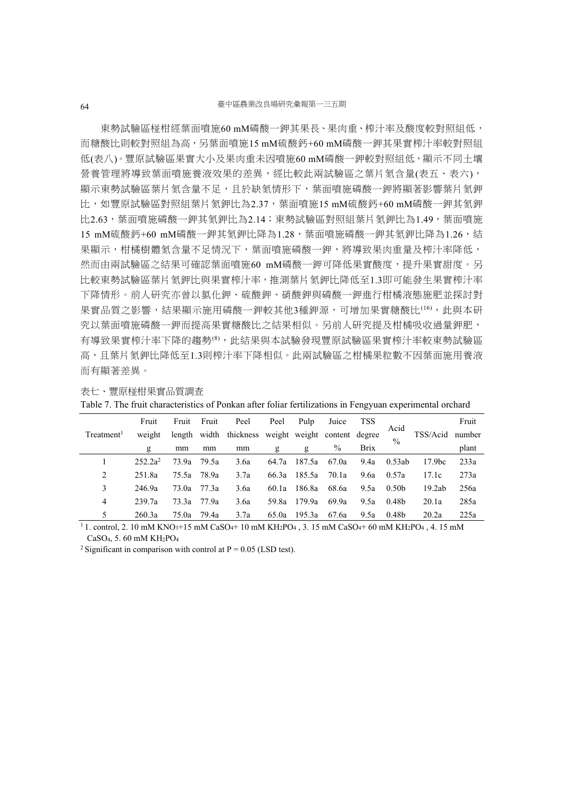東勢試驗區椪柑經葉面噴施60 mM磷酸一鉀其果長、果肉重、榨汁率及酸度較對照組低, 而糖酸比則較對照組為高,另葉面噴施15 mM硫酸鈣+60 mM磷酸一鉀其果實榨汁率較對照組 低(表八)。豐原試驗區果實大小及果肉重未因噴施60 mM磷酸一鉀較對照組低,顯示不同土壤 營養管理將導致葉面噴施養液效果的差異,經比較此兩試驗區之葉片氮含量(表五、表六), 顯示東勢試驗區葉片氮含量不足,且於缺氮情形下,葉面噴施磷酸一鉀將顯著影響葉片氮鉀 比,如豐原試驗區對照組葉片氮鉀比為2.37,葉面噴施15 mM硫酸鈣+60 mM磷酸一鉀其氮鉀 比2.63,葉面噴施磷酸一鉀其氮鉀比為2.14;東勢試驗區對照組葉片氮鉀比為1.49,葉面噴施 15 mM硫酸鈣+60 mM磷酸一鉀其氮鉀比降為1.28,葉面噴施磷酸一鉀其氮鉀比降為1.26,結 果顯示,柑橘樹體氮含量不足情況下,葉面噴施磷酸一鉀,將導致果肉重量及榨汁率降低, 然而由兩試驗區之結果可確認葉面噴施60 mM磷酸一鉀可降低果實酸度,提升果實甜度。另 比較東勢試驗區葉片氮鉀比與果實榨汁率,推測葉片氮鉀比降低至1.3即可能發生果實榨汁率 下降情形。前人研究亦曾以氯化鉀、硫酸鉀、硝酸鉀與磷酸一鉀進行柑橘液態施肥並探討對 果實品質之影響,結果顯示施用磷酸一鉀較其他3種鉀源,可增加果實糖酸比(16),此與本研 究以葉面噴施磷酸一鉀而提高果實糖酸比之結果相似。另前人研究提及柑橘吸收過量鉀肥, 有導致果實榨汁率下降的趨勢(8),此結果與本試驗發現豐原試驗區果實榨汁率較東勢試驗區 高,且葉片氮鉀比降低至1.3則榨汁率下降相似。此兩試驗區之柑橘果粒數不因葉面施用養液 而有顯著差異。

|                        | Fruit      | Fruit | Fruit | Peel                                                | Peel  | Pulp   | Juice | TSS         | Acid              |                    | Fruit  |
|------------------------|------------|-------|-------|-----------------------------------------------------|-------|--------|-------|-------------|-------------------|--------------------|--------|
| Treatment <sup>1</sup> | weight     |       |       | length width thickness weight weight content degree |       |        |       |             | $\frac{0}{0}$     | TSS/Acid           | number |
|                        | g          | mm    | mm    | mm                                                  | g     | g      | $\%$  | <b>Brix</b> |                   |                    | plant  |
|                        | $252.2a^2$ | 73.9a | 79.5a | 3.6a                                                | 64.7a | 187.5a | 67.0a | 9.4a        | 0.53ab            | 17.9 <sub>bc</sub> | 233a   |
| 2                      | 251.8a     | 75.5a | 78.9a | 3.7a                                                | 66.3a | 185.5a | 70.1a | 9.6a        | 0.57a             | 17.1c              | 273a   |
| 3                      | 246.9a     | 73.0a | 77.3a | 3.6a                                                | 60.1a | 186.8a | 68.6a | 9.5a        | 0.50 <sub>b</sub> | 19.2ab             | 256a   |
| 4                      | 239.7a     | 73.3a | 77.9a | 3.6a                                                | 59.8a | 179.9a | 69.9a | 9.5a        | 0.48b             | 20.1a              | 285a   |
| 5                      | 260.3a     | 75.0a | 79.4a | 3.7a                                                | 65.0a | 195.3a | 67.6a | 9.5a        | 0.48 <sub>b</sub> | 20.2a              | 225a   |

表七、豐原椪柑果實品質調查

|  | Table 7. The fruit characteristics of Ponkan after foliar fertilizations in Fengyuan experimental orchard |  |  |  |  |
|--|-----------------------------------------------------------------------------------------------------------|--|--|--|--|
|  |                                                                                                           |  |  |  |  |

<sup>1</sup> 1, control, 2, 10 mM KNO<sub>3</sub>+15 mM CaSO<sub>4</sub>+ 10 mM KH<sub>2</sub>PO<sub>4</sub>, 3, 15 mM CaSO<sub>4</sub>+ 60 mM KH<sub>2</sub>PO<sub>4</sub>, 4, 15 mM CaSO4, 5. 60 mM KH2PO4

<sup>2</sup> Significant in comparison with control at  $P = 0.05$  (LSD test).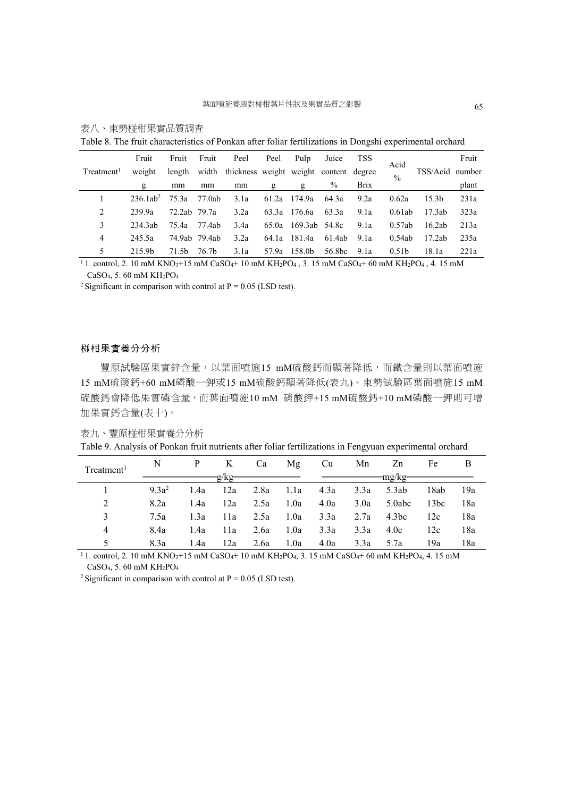|                        | Fruit       | Fruit        | Fruit         | Peel                                         | Peel  | Pulp          | Juice         | TSS         | Acid              |                   | Fruit |
|------------------------|-------------|--------------|---------------|----------------------------------------------|-------|---------------|---------------|-------------|-------------------|-------------------|-------|
| Treatment <sup>1</sup> | weight      | length       |               | width thickness weight weight content degree |       |               |               |             | $\frac{0}{0}$     | TSS/Acid number   |       |
|                        | g           | mm           | mm            | mm                                           | g     | g             | $\frac{0}{0}$ | <b>Brix</b> |                   |                   | plant |
|                        | $236.1ab^2$ | 75.3a        | 77.0ab        | 3.1a                                         | 61.2a | 174.9a        | 64.3a         | 9.2a        | 0.62a             | 15.3 <sub>b</sub> | 231a  |
| 2                      | 239.9a      | 72.2ab 79.7a |               | 3.2a                                         | 63.3a | 176.6a        | 63.3a         | 9.1a        | 0.61ab            | 17.3ab            | 323a  |
| 3                      | 234.3ab     | 75.4a        | 77.4ab        | 3.4a                                         | 65.0a | 169.3ab 54.8c |               | 9.1a        | 0.57ab            | 16.2ab            | 213a  |
| 4                      | 245.5a      |              | 74.9ab 79.4ab | 3.2a                                         | 64.1a | 181.4a        | 61.4ab        | 9.1a        | 0.54ab            | 17.2ab            | 235a  |
| 5                      | 215.9b      | 71.5b        | 76.7b         | 3.1a                                         | 57.9a | 158.0b        | 56.8bc        | 9.1a        | 0.51 <sub>b</sub> | 18.1a             | 221a  |

表八、東勢椪柑果實品質調查

Table 8. The fruit characteristics of Ponkan after foliar fertilizations in Dongshi experimental orchard

<sup>1</sup> 1. control, 2. 10 mM KNO<sub>3</sub>+15 mM CaSO<sub>4</sub>+ 10 mM KH<sub>2</sub>PO<sub>4</sub>, 3. 15 mM CaSO<sub>4</sub>+ 60 mM KH<sub>2</sub>PO<sub>4</sub>, 4. 15 mM CaSO4, 5. 60 mM KH2PO4

<sup>2</sup> Significant in comparison with control at  $P = 0.05$  (LSD test).

#### 椪柑果實養分分析

豐原試驗區果實鋅含量,以葉面噴施15 mM硫酸鈣而顯著降低,而鐵含量則以葉面噴施 15 mM硫酸鈣+60 mM磷酸一鉀或15 mM硫酸鈣顯著降低(表九)。東勢試驗區葉面噴施15 mM 硫酸鈣會降低果實磷含量,而葉面噴施10 mM 硝酸鉀+15 mM硫酸鈣+10 mM磷酸一鉀則可增 加果實鈣含量(表十)。

| 表九 | 豐原椪柑果實養分分析 |
|----|------------|
|    |            |

Table 9. Analysis of Ponkan fruit nutrients after foliar fertilizations in Fengyuan experimental orchard

| Treatment <sup>1</sup> | N        |      | K    | Ca   | Mg   | Cu   | Mn   | Zn      | Fe   | B   |
|------------------------|----------|------|------|------|------|------|------|---------|------|-----|
|                        |          |      | g/kg |      |      |      |      | -mg/kg- |      |     |
|                        | $9.3a^2$ | 1.4a | 12a  | 2.8a | 1.1a | 4.3a | 3.3a | 5.3ab   | 18ab | 19a |
| 2                      | 8.2a     | 1.4a | 12a  | 2.5a | 1.0a | 4.0a | 3.0a | 5.0abc  | 13bc | 18a |
|                        | 7.5a     | 1.3a | 11a  | 2.5a | 1.0a | 3.3a | 2.7a | 4.3bc   | 12c  | 18a |
| 4                      | 8.4a     | 1.4a | 11a  | 2.6a | 1.0a | 3.3a | 3.3a | 4.0c    | 12c  | 18a |
|                        | 8.3a     | 1.4a | 12a  | 2.6a | 1.0a | 4.0a | 3.3a | 5.7a    | 19a  | 18a |

 $\frac{1}{11}$ , control, 2.10 mM KNO<sub>3</sub>+15 mM CaSO<sub>4</sub>+10 mM KH<sub>2</sub>PO<sub>4</sub>, 3.15 mM CaSO<sub>4</sub>+ 60 mM KH<sub>2</sub>PO<sub>4</sub>, 4.15 mM CaSO4, 5. 60 mM KH2PO4

<sup>2</sup> Significant in comparison with control at  $P = 0.05$  (LSD test).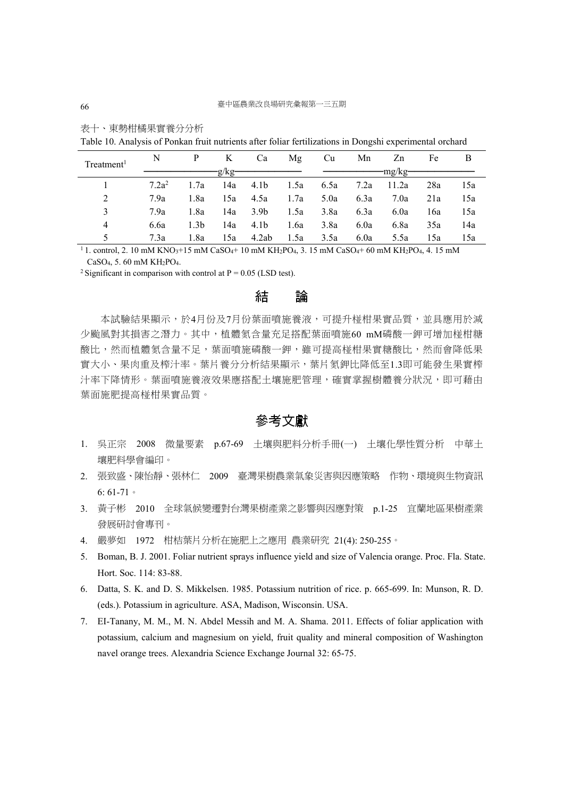| Treatment <sup>1</sup> | N        |                  | K   | Ca               | Mg   | Cu   | Mn        | Zn    | Fe  | B   |
|------------------------|----------|------------------|-----|------------------|------|------|-----------|-------|-----|-----|
|                        | $-g/kg$  |                  |     |                  |      |      |           |       |     |     |
|                        | $7.2a^2$ | 1.7a             | 14a | 4.1b             | 1.5a |      | 6.5a 7.2a | 11.2a | 28a | 15a |
| 2                      | 7.9a     | 1.8a             | 15a | 4.5a             | 1.7a | 5.0a | 6.3a      | 7.0a  | 21a | 15a |
|                        | 7.9a     | 1.8a             | 14a | 3.9 <sub>b</sub> | 1.5a | 3.8a | 6.3a      | 6.0a  | 16a | 15a |
| $\overline{4}$         | 6.6a     | 1.3 <sub>b</sub> | 14a | 4.1b             | 1.6a | 3.8a | 6.0a      | 6.8a  | 35a | 14a |
|                        | 7.3a     | 1.8a             | 15a | 4.2ab            | 1.5a | 3.5a | 6.0a      | 5.5a  | 15a | 15a |

表十、東勢柑橘果實養分分析

Table 10. Analysis of Ponkan fruit nutrients after foliar fertilizations in Dongshi experimental orchard

 $11$ . control, 2. 10 mM KNO<sub>3</sub>+15 mM CaSO<sub>4</sub>+ 10 mM KH<sub>2</sub>PO<sub>4</sub>, 3. 15 mM CaSO<sub>4</sub>+ 60 mM KH<sub>2</sub>PO<sub>4</sub>, 4. 15 mM CaSO4, 5. 60 mM KH2PO4.

<sup>2</sup> Significant in comparison with control at  $P = 0.05$  (LSD test).

# 結 論

本試驗結果顯示,於4月份及7月份葉面噴施養液,可提升椪柑果實品質,並具應用於減 少颱風對其損害之潛力。其中,植體氮含量充足搭配葉面噴施60 mM磷酸一鉀可增加椪柑糖 酸比,然而植體氮含量不足,葉面噴施磷酸一鉀,雖可提高椪柑果實糖酸比,然而會降低果 實大小、果肉重及榨汁率。葉片養分分析結果顯示,葉片氮鉀比降低至1.3即可能發生果實榨 汁率下降情形。葉面噴施養液效果應搭配土壤施肥管理,確實掌握樹體養分狀況,即可藉由 葉面施肥提高椪柑果實品質。

## 參考文獻

- 1. 吳正宗 2008 微量要素 p.67-69 土壤與肥料分析手冊(一) 土壤化學性質分析 中華土 壤肥料學會編印。
- 2. 張致盛、陳怡靜、張林仁 2009 臺灣果樹農業氣象災害與因應策略 作物、環境與生物資訊  $6: 61-71$
- 3. 黃子彬 2010 全球氣候變遷對台灣果樹產業之影響與因應對策 p.1-25 宜蘭地區果樹產業 發展研討會專刊。
- 4. 嚴夢如 1972 柑桔葉片分析在施肥上之應用 農業研究 21(4): 250-255。
- 5. Boman, B. J. 2001. Foliar nutrient sprays influence yield and size of Valencia orange. Proc. Fla. State. Hort. Soc. 114: 83-88.
- 6. Datta, S. K. and D. S. Mikkelsen. 1985. Potassium nutrition of rice. p. 665-699. In: Munson, R. D. (eds.). Potassium in agriculture. ASA, Madison, Wisconsin. USA.
- 7. EI-Tanany, M. M., M. N. Abdel Messih and M. A. Shama. 2011. Effects of foliar application with potassium, calcium and magnesium on yield, fruit quality and mineral composition of Washington navel orange trees. Alexandria Science Exchange Journal 32: 65-75.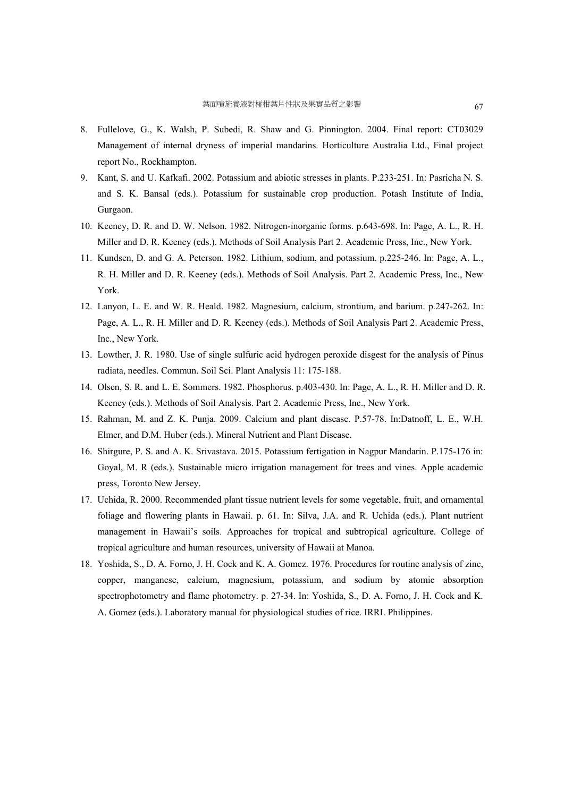- 8. Fullelove, G., K. Walsh, P. Subedi, R. Shaw and G. Pinnington. 2004. Final report: CT03029 Management of internal dryness of imperial mandarins. Horticulture Australia Ltd., Final project report No., Rockhampton.
- 9. Kant, S. and U. Kafkafi. 2002. Potassium and abiotic stresses in plants. P.233-251. In: Pasricha N. S. and S. K. Bansal (eds.). Potassium for sustainable crop production. Potash Institute of India, Gurgaon.
- 10. Keeney, D. R. and D. W. Nelson. 1982. Nitrogen-inorganic forms. p.643-698. In: Page, A. L., R. H. Miller and D. R. Keeney (eds.). Methods of Soil Analysis Part 2. Academic Press, Inc., New York.
- 11. Kundsen, D. and G. A. Peterson. 1982. Lithium, sodium, and potassium. p.225-246. In: Page, A. L., R. H. Miller and D. R. Keeney (eds.). Methods of Soil Analysis. Part 2. Academic Press, Inc., New York.
- 12. Lanyon, L. E. and W. R. Heald. 1982. Magnesium, calcium, strontium, and barium. p.247-262. In: Page, A. L., R. H. Miller and D. R. Keeney (eds.). Methods of Soil Analysis Part 2. Academic Press, Inc., New York.
- 13. Lowther, J. R. 1980. Use of single sulfuric acid hydrogen peroxide disgest for the analysis of Pinus radiata, needles. Commun. Soil Sci. Plant Analysis 11: 175-188.
- 14. Olsen, S. R. and L. E. Sommers. 1982. Phosphorus. p.403-430. In: Page, A. L., R. H. Miller and D. R. Keeney (eds.). Methods of Soil Analysis. Part 2. Academic Press, Inc., New York.
- 15. Rahman, M. and Z. K. Punja. 2009. Calcium and plant disease. P.57-78. In:Datnoff, L. E., W.H. Elmer, and D.M. Huber (eds.). Mineral Nutrient and Plant Disease.
- 16. Shirgure, P. S. and A. K. Srivastava. 2015. Potassium fertigation in Nagpur Mandarin. P.175-176 in: Goyal, M. R (eds.). Sustainable micro irrigation management for trees and vines. Apple academic press, Toronto New Jersey.
- 17. Uchida, R. 2000. Recommended plant tissue nutrient levels for some vegetable, fruit, and ornamental foliage and flowering plants in Hawaii. p. 61. In: Silva, J.A. and R. Uchida (eds.). Plant nutrient management in Hawaii's soils. Approaches for tropical and subtropical agriculture. College of tropical agriculture and human resources, university of Hawaii at Manoa.
- 18. Yoshida, S., D. A. Forno, J. H. Cock and K. A. Gomez. 1976. Procedures for routine analysis of zinc, copper, manganese, calcium, magnesium, potassium, and sodium by atomic absorption spectrophotometry and flame photometry. p. 27-34. In: Yoshida, S., D. A. Forno, J. H. Cock and K. A. Gomez (eds.). Laboratory manual for physiological studies of rice. IRRI. Philippines.